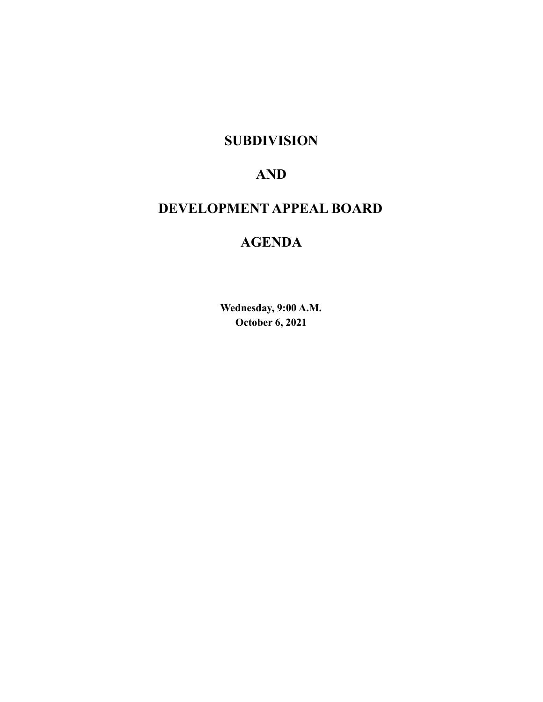### **SUBDIVISION**

## **AND**

# **DEVELOPMENT APPEAL BOARD**

# **AGENDA**

**Wednesday, 9:00 A.M. October 6, 2021**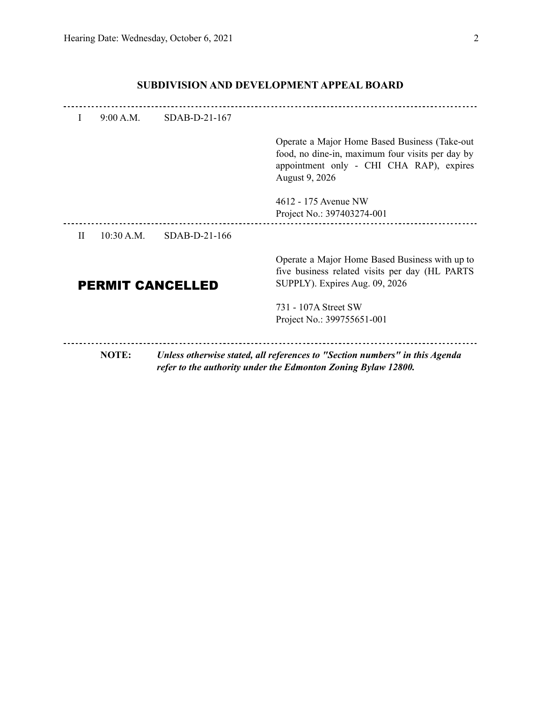| $\mathbf{I}$ | $9.00 \text{ A} \text{ M}$ | $SDAB-D-21-167$         |                                                                                                                                                                  |
|--------------|----------------------------|-------------------------|------------------------------------------------------------------------------------------------------------------------------------------------------------------|
|              |                            |                         | Operate a Major Home Based Business (Take-out)<br>food, no dine-in, maximum four visits per day by<br>appointment only - CHI CHA RAP), expires<br>August 9, 2026 |
|              |                            |                         | 4612 - 175 Avenue NW<br>Project No.: 397403274-001                                                                                                               |
| H            | 10.30 A M                  | $SDAB-D-21-166$         |                                                                                                                                                                  |
|              |                            | <b>PERMIT CANCELLED</b> | Operate a Major Home Based Business with up to<br>five business related visits per day (HL PARTS)<br>SUPPLY). Expires Aug. 09, 2026                              |
|              |                            |                         | 731 - 107A Street SW<br>Project No.: 399755651-001                                                                                                               |
|              | <b>NOTE:</b>               |                         | Unless otherwise stated, all references to "Section numbers" in this Agenda<br>refer to the authority under the Edmonton Zoning Bylaw 12800.                     |

### **SUBDIVISION AND DEVELOPMENT APPEAL BOARD**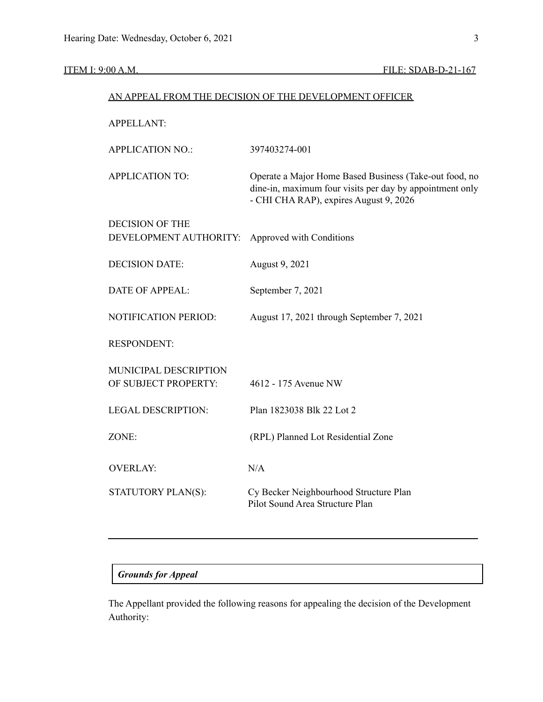| AN APPEAL FROM THE DECISION OF THE DEVELOPMENT OFFICER |                                                                                                                                                              |  |  |  |  |
|--------------------------------------------------------|--------------------------------------------------------------------------------------------------------------------------------------------------------------|--|--|--|--|
| <b>APPELLANT:</b>                                      |                                                                                                                                                              |  |  |  |  |
| <b>APPLICATION NO.:</b>                                | 397403274-001                                                                                                                                                |  |  |  |  |
| <b>APPLICATION TO:</b>                                 | Operate a Major Home Based Business (Take-out food, no<br>dine-in, maximum four visits per day by appointment only<br>- CHI CHA RAP), expires August 9, 2026 |  |  |  |  |
| <b>DECISION OF THE</b><br>DEVELOPMENT AUTHORITY:       | Approved with Conditions                                                                                                                                     |  |  |  |  |
| <b>DECISION DATE:</b>                                  | August 9, 2021                                                                                                                                               |  |  |  |  |
| <b>DATE OF APPEAL:</b>                                 | September 7, 2021                                                                                                                                            |  |  |  |  |
| <b>NOTIFICATION PERIOD:</b>                            | August 17, 2021 through September 7, 2021                                                                                                                    |  |  |  |  |
| <b>RESPONDENT:</b>                                     |                                                                                                                                                              |  |  |  |  |
| MUNICIPAL DESCRIPTION<br>OF SUBJECT PROPERTY:          | 4612 - 175 Avenue NW                                                                                                                                         |  |  |  |  |
| LEGAL DESCRIPTION:                                     | Plan 1823038 Blk 22 Lot 2                                                                                                                                    |  |  |  |  |
| ZONE:                                                  | (RPL) Planned Lot Residential Zone                                                                                                                           |  |  |  |  |
| <b>OVERLAY:</b>                                        | N/A                                                                                                                                                          |  |  |  |  |
| STATUTORY PLAN(S):                                     | Cy Becker Neighbourhood Structure Plan<br>Pilot Sound Area Structure Plan                                                                                    |  |  |  |  |

### *Grounds for Appeal*

The Appellant provided the following reasons for appealing the decision of the Development Authority: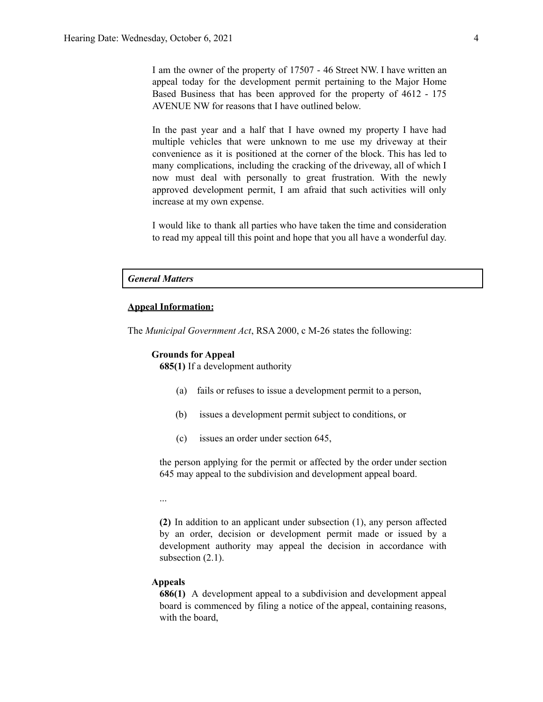I am the owner of the property of 17507 - 46 Street NW. I have written an appeal today for the development permit pertaining to the Major Home Based Business that has been approved for the property of 4612 - 175 AVENUE NW for reasons that I have outlined below.

In the past year and a half that I have owned my property I have had multiple vehicles that were unknown to me use my driveway at their convenience as it is positioned at the corner of the block. This has led to many complications, including the cracking of the driveway, all of which I now must deal with personally to great frustration. With the newly approved development permit, I am afraid that such activities will only increase at my own expense.

I would like to thank all parties who have taken the time and consideration to read my appeal till this point and hope that you all have a wonderful day.

#### *General Matters*

#### **Appeal Information:**

The *Municipal Government Act*, RSA 2000, c M-26 states the following:

#### **Grounds for Appeal**

**685(1)** If a development authority

- (a) fails or refuses to issue a development permit to a person,
- (b) issues a development permit subject to conditions, or
- (c) issues an order under section 645,

the person applying for the permit or affected by the order under section 645 may appeal to the subdivision and development appeal board.

...

**(2)** In addition to an applicant under subsection (1), any person affected by an order, decision or development permit made or issued by a development authority may appeal the decision in accordance with subsection  $(2.1)$ .

#### **Appeals**

**686(1)** A development appeal to a subdivision and development appeal board is commenced by filing a notice of the appeal, containing reasons, with the board,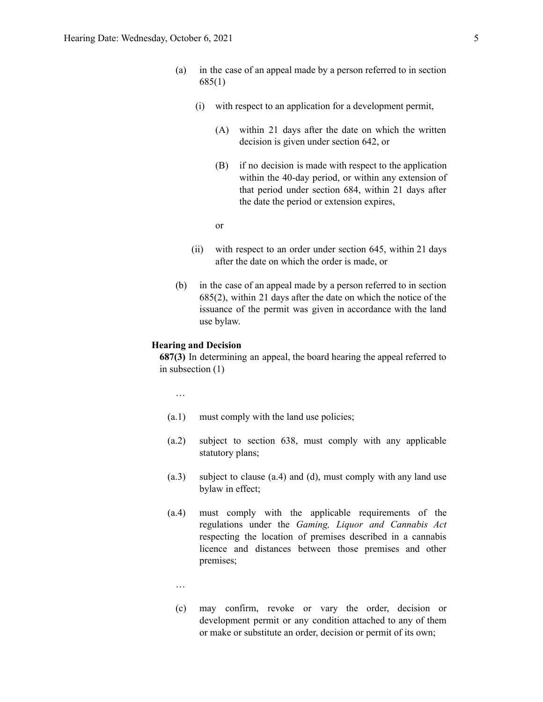- (a) in the case of an appeal made by a person referred to in section 685(1)
	- (i) with respect to an application for a development permit,
		- (A) within 21 days after the date on which the written decision is given under section 642, or
		- (B) if no decision is made with respect to the application within the 40-day period, or within any extension of that period under section 684, within 21 days after the date the period or extension expires,

or

- (ii) with respect to an order under section 645, within 21 days after the date on which the order is made, or
- (b) in the case of an appeal made by a person referred to in section 685(2), within 21 days after the date on which the notice of the issuance of the permit was given in accordance with the land use bylaw.

#### **Hearing and Decision**

**687(3)** In determining an appeal, the board hearing the appeal referred to in subsection (1)

…

- (a.1) must comply with the land use policies;
- (a.2) subject to section 638, must comply with any applicable statutory plans;
- (a.3) subject to clause (a.4) and (d), must comply with any land use bylaw in effect;
- (a.4) must comply with the applicable requirements of the regulations under the *Gaming, Liquor and Cannabis Act* respecting the location of premises described in a cannabis licence and distances between those premises and other premises;
	- …
	- (c) may confirm, revoke or vary the order, decision or development permit or any condition attached to any of them or make or substitute an order, decision or permit of its own;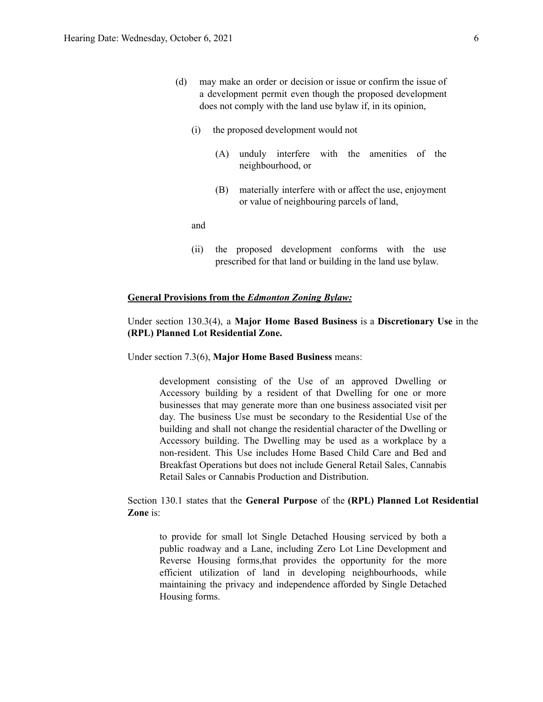- (d) may make an order or decision or issue or confirm the issue of a development permit even though the proposed development does not comply with the land use bylaw if, in its opinion,
	- (i) the proposed development would not
		- (A) unduly interfere with the amenities of the neighbourhood, or
		- (B) materially interfere with or affect the use, enjoyment or value of neighbouring parcels of land,

and

(ii) the proposed development conforms with the use prescribed for that land or building in the land use bylaw.

#### **General Provisions from the** *Edmonton Zoning Bylaw:*

### Under section 130.3(4), a **Major Home Based Business** is a **Discretionary Use** in the **(RPL) Planned Lot Residential Zone.**

Under section 7.3(6), **Major Home Based Business** means:

development consisting of the Use of an approved Dwelling or Accessory building by a resident of that Dwelling for one or more businesses that may generate more than one business associated visit per day. The business Use must be secondary to the Residential Use of the building and shall not change the residential character of the Dwelling or Accessory building. The Dwelling may be used as a workplace by a non-resident. This Use includes Home Based Child Care and Bed and Breakfast Operations but does not include General Retail Sales, Cannabis Retail Sales or Cannabis Production and Distribution.

Section 130.1 states that the **General Purpose** of the **(RPL) Planned Lot Residential Zone** is:

to provide for small lot Single Detached Housing serviced by both a public roadway and a Lane, including Zero Lot Line Development and Reverse Housing forms,that provides the opportunity for the more efficient utilization of land in developing neighbourhoods, while maintaining the privacy and independence afforded by Single Detached Housing forms.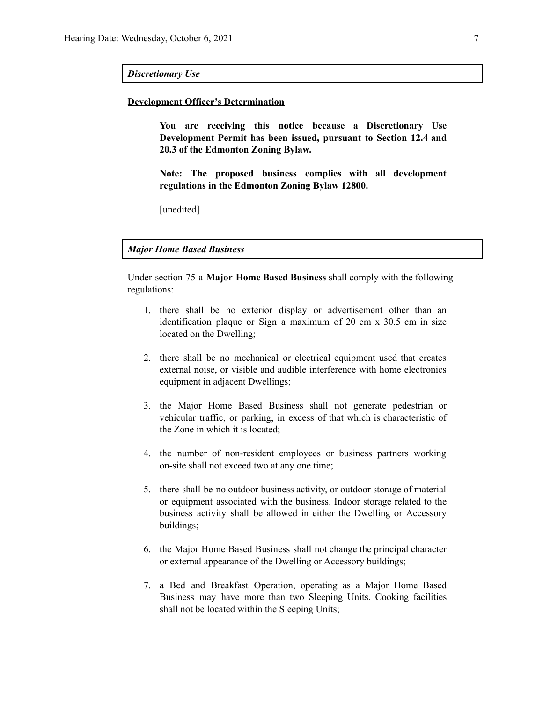#### *Discretionary Use*

#### **Development Officer's Determination**

**You are receiving this notice because a Discretionary Use Development Permit has been issued, pursuant to Section 12.4 and 20.3 of the Edmonton Zoning Bylaw.**

**Note: The proposed business complies with all development regulations in the Edmonton Zoning Bylaw 12800.**

[unedited]

*Major Home Based Business*

Under section 75 a **Major Home Based Business** shall comply with the following regulations:

- 1. there shall be no exterior display or advertisement other than an identification plaque or Sign a maximum of 20 cm x 30.5 cm in size located on the Dwelling;
- 2. there shall be no mechanical or electrical equipment used that creates external noise, or visible and audible interference with home electronics equipment in adjacent Dwellings;
- 3. the Major Home Based Business shall not generate pedestrian or vehicular traffic, or parking, in excess of that which is characteristic of the Zone in which it is located;
- 4. the number of non-resident employees or business partners working on-site shall not exceed two at any one time;
- 5. there shall be no outdoor business activity, or outdoor storage of material or equipment associated with the business. Indoor storage related to the business activity shall be allowed in either the Dwelling or Accessory buildings;
- 6. the Major Home Based Business shall not change the principal character or external appearance of the Dwelling or Accessory buildings;
- 7. a Bed and Breakfast Operation, operating as a Major Home Based Business may have more than two Sleeping Units. Cooking facilities shall not be located within the Sleeping Units;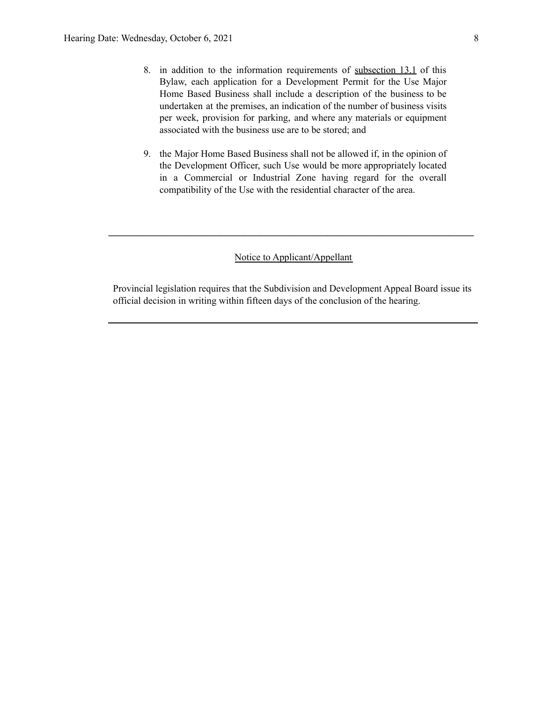- 8. in addition to the information requirements of [subsection](https://webdocs.edmonton.ca/InfraPlan/zoningbylaw/ZoningBylaw/Part1/Administrative/13__Development_Permit_Application.htm) 13.1 of this Bylaw, each application for a Development Permit for the Use Major Home Based Business shall include a description of the business to be undertaken at the premises, an indication of the number of business visits per week, provision for parking, and where any materials or equipment associated with the business use are to be stored; and
- 9. the Major Home Based Business shall not be allowed if, in the opinion of the Development Officer, such Use would be more appropriately located in a Commercial or Industrial Zone having regard for the overall compatibility of the Use with the residential character of the area.

#### Notice to Applicant/Appellant

**\_\_\_\_\_\_\_\_\_\_\_\_\_\_\_\_\_\_\_\_\_\_\_\_\_\_\_\_\_\_\_\_\_\_\_\_\_\_\_\_\_\_\_\_\_\_\_\_\_\_\_\_\_\_\_\_\_\_\_\_\_\_\_\_\_\_\_\_\_\_\_\_\_\_\_**

Provincial legislation requires that the Subdivision and Development Appeal Board issue its official decision in writing within fifteen days of the conclusion of the hearing.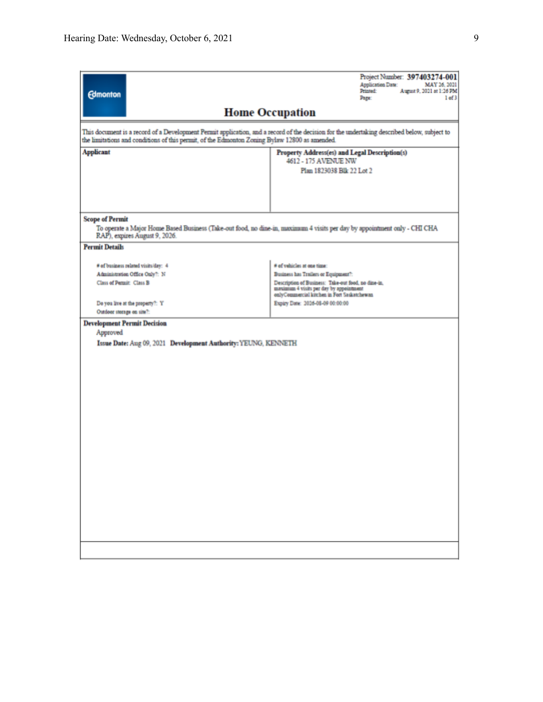| <b>Edmonton</b>                                                                                                                                                                                                                              | Project Number: 397403274-001<br><b>Application Date:</b><br>MAY 26, 2021<br>Printed:<br>August 9, 2021 at 1:26 PM<br>Page:<br>1 of 3         |  |  |  |  |  |  |
|----------------------------------------------------------------------------------------------------------------------------------------------------------------------------------------------------------------------------------------------|-----------------------------------------------------------------------------------------------------------------------------------------------|--|--|--|--|--|--|
|                                                                                                                                                                                                                                              | <b>Home Occupation</b>                                                                                                                        |  |  |  |  |  |  |
| This document is a record of a Development Permit application, and a record of the decision for the undertaking described below, subject to<br>the limitations and conditions of this permit, of the Edmonton Zoning Bylaw 12800 as amended. |                                                                                                                                               |  |  |  |  |  |  |
| <b>Applicant</b>                                                                                                                                                                                                                             | Property Address(es) and Legal Description(s)<br>4612 - 175 AVENUE NW                                                                         |  |  |  |  |  |  |
|                                                                                                                                                                                                                                              | Plan 1823038 Blk 22 Lot 2                                                                                                                     |  |  |  |  |  |  |
| <b>Scope of Permit</b><br>To operate a Major Home Based Business (Take-out food, no dine-in, maximum 4 visits per day by appointment only - CHI CHA<br>RAP), expires August 9, 2026.                                                         |                                                                                                                                               |  |  |  |  |  |  |
| <b>Permit Details</b>                                                                                                                                                                                                                        |                                                                                                                                               |  |  |  |  |  |  |
| # of business related visits/day: 4<br>Administration Office Only?: N                                                                                                                                                                        | # of vehicles at one time:<br>Business has Trailers or Equipment?:                                                                            |  |  |  |  |  |  |
| Class of Permit: Class B                                                                                                                                                                                                                     | Description of Business: Take-out food, no dine-in,<br>maximum 4 visits per day by appointment<br>onlyCommercial kitchen in Fort Saskatchewan |  |  |  |  |  |  |
| Do you live at the property?: Y<br>Outdoor storage on site?:<br><b>Development Permit Decision</b>                                                                                                                                           | Expiry Date: 2026-08-09 00:00:00                                                                                                              |  |  |  |  |  |  |
| Approved<br>Issue Date: Aug 09, 2021 Development Authority: YEUNG, KENNETH                                                                                                                                                                   |                                                                                                                                               |  |  |  |  |  |  |
|                                                                                                                                                                                                                                              |                                                                                                                                               |  |  |  |  |  |  |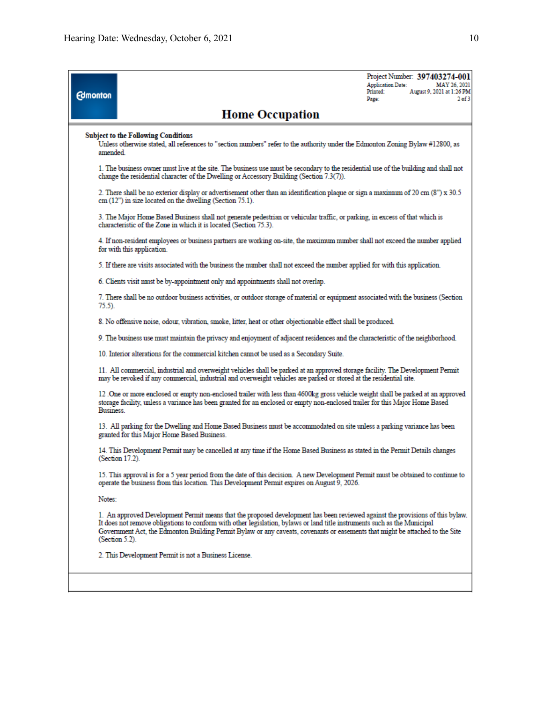| <b>Edmonton</b>                                                                                                                                                                         |                                                                                                                                                                                                                                                                                                                                                                                                                | <b>Application Date:</b><br>Printed:<br>Page: | Project Number: 397403274-001<br>MAY 26, 2021<br>August 9, 2021 at 1:26 PM<br>$2$ of $3$ |  |  |  |
|-----------------------------------------------------------------------------------------------------------------------------------------------------------------------------------------|----------------------------------------------------------------------------------------------------------------------------------------------------------------------------------------------------------------------------------------------------------------------------------------------------------------------------------------------------------------------------------------------------------------|-----------------------------------------------|------------------------------------------------------------------------------------------|--|--|--|
|                                                                                                                                                                                         | <b>Home Occupation</b>                                                                                                                                                                                                                                                                                                                                                                                         |                                               |                                                                                          |  |  |  |
| <b>Subject to the Following Conditions</b><br>Unless otherwise stated, all references to "section numbers" refer to the authority under the Edmonton Zoning Bylaw #12800, as<br>amended |                                                                                                                                                                                                                                                                                                                                                                                                                |                                               |                                                                                          |  |  |  |
|                                                                                                                                                                                         | 1. The business owner must live at the site. The business use must be secondary to the residential use of the building and shall not<br>change the residential character of the Dwelling or Accessory Building (Section 7.3(7)).                                                                                                                                                                               |                                               |                                                                                          |  |  |  |
|                                                                                                                                                                                         | 2. There shall be no exterior display or advertisement other than an identification plaque or sign a maximum of 20 cm (8") x 30.5<br>$cm(12")$ in size located on the dwelling (Section $75.1$ ).                                                                                                                                                                                                              |                                               |                                                                                          |  |  |  |
|                                                                                                                                                                                         | 3. The Major Home Based Business shall not generate pedestrian or vehicular traffic, or parking, in excess of that which is<br>characteristic of the Zone in which it is located (Section 75.3).                                                                                                                                                                                                               |                                               |                                                                                          |  |  |  |
|                                                                                                                                                                                         | 4. If non-resident employees or business partners are working on-site, the maximum number shall not exceed the number applied<br>for with this application.                                                                                                                                                                                                                                                    |                                               |                                                                                          |  |  |  |
|                                                                                                                                                                                         | 5. If there are visits associated with the business the number shall not exceed the number applied for with this application.                                                                                                                                                                                                                                                                                  |                                               |                                                                                          |  |  |  |
|                                                                                                                                                                                         | 6. Clients visit must be by-appointment only and appointments shall not overlap.                                                                                                                                                                                                                                                                                                                               |                                               |                                                                                          |  |  |  |
| $75.5$ ).                                                                                                                                                                               | 7. There shall be no outdoor business activities, or outdoor storage of material or equipment associated with the business (Section                                                                                                                                                                                                                                                                            |                                               |                                                                                          |  |  |  |
|                                                                                                                                                                                         | 8. No offensive noise, odour, vibration, smoke, litter, heat or other objectionable effect shall be produced.                                                                                                                                                                                                                                                                                                  |                                               |                                                                                          |  |  |  |
|                                                                                                                                                                                         | 9. The business use must maintain the privacy and enjoyment of adjacent residences and the characteristic of the neighborhood.                                                                                                                                                                                                                                                                                 |                                               |                                                                                          |  |  |  |
|                                                                                                                                                                                         | 10. Interior alterations for the commercial kitchen cannot be used as a Secondary Suite.                                                                                                                                                                                                                                                                                                                       |                                               |                                                                                          |  |  |  |
|                                                                                                                                                                                         | 11. All commercial, industrial and overweight vehicles shall be parked at an approved storage facility. The Development Permit<br>may be revoked if any commercial, industrial and overweight vehicles are parked or stored at the residential site.                                                                                                                                                           |                                               |                                                                                          |  |  |  |
|                                                                                                                                                                                         | 12 One or more enclosed or empty non-enclosed trailer with less than 4600kg gross vehicle weight shall be parked at an approved<br>storage facility, unless a variance has been granted for an enclosed or empty non-enclosed trailer for this Major Home Based<br>Business.                                                                                                                                   |                                               |                                                                                          |  |  |  |
|                                                                                                                                                                                         | 13. All parking for the Dwelling and Home Based Business must be accommodated on site unless a parking variance has been<br>granted for this Major Home Based Business.                                                                                                                                                                                                                                        |                                               |                                                                                          |  |  |  |
|                                                                                                                                                                                         | 14. This Development Permit may be cancelled at any time if the Home Based Business as stated in the Permit Details changes<br>(Section 17.2).                                                                                                                                                                                                                                                                 |                                               |                                                                                          |  |  |  |
|                                                                                                                                                                                         | 15. This approval is for a 5 year period from the date of this decision. A new Development Permit must be obtained to continue to<br>operate the business from this location. This Development Permit expires on August 9, 2026.                                                                                                                                                                               |                                               |                                                                                          |  |  |  |
| Notes:                                                                                                                                                                                  |                                                                                                                                                                                                                                                                                                                                                                                                                |                                               |                                                                                          |  |  |  |
|                                                                                                                                                                                         | 1. An approved Development Permit means that the proposed development has been reviewed against the provisions of this bylaw.<br>It does not remove obligations to conform with other legislation, bylaws or land title instruments such as the Municipal<br>Government Act, the Edmonton Building Permit Bylaw or any caveats, covenants or easements that might be attached to the Site<br>(Section $5.2$ ). |                                               |                                                                                          |  |  |  |
|                                                                                                                                                                                         | 2. This Development Permit is not a Business License.                                                                                                                                                                                                                                                                                                                                                          |                                               |                                                                                          |  |  |  |
|                                                                                                                                                                                         |                                                                                                                                                                                                                                                                                                                                                                                                                |                                               |                                                                                          |  |  |  |
|                                                                                                                                                                                         |                                                                                                                                                                                                                                                                                                                                                                                                                |                                               |                                                                                          |  |  |  |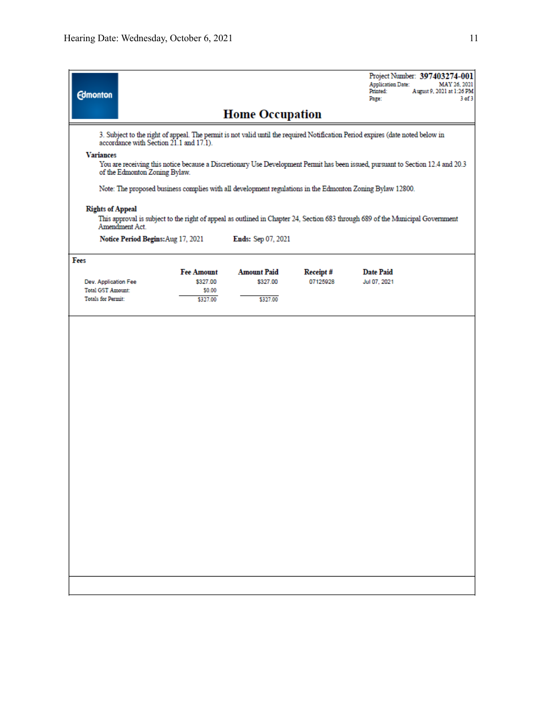| <b>Edmonton</b>                                                                                                                                                                      |                                    |                      |          | Project Number: 397403274-001<br><b>Application Date:</b><br>MAY 26, 2021<br>Printed:<br>August 9, 2021 at 1:26 PM<br>3 of 3<br>Page: |  |  |  |  |  |  |
|--------------------------------------------------------------------------------------------------------------------------------------------------------------------------------------|------------------------------------|----------------------|----------|---------------------------------------------------------------------------------------------------------------------------------------|--|--|--|--|--|--|
| <b>Home Occupation</b>                                                                                                                                                               |                                    |                      |          |                                                                                                                                       |  |  |  |  |  |  |
| 3. Subject to the right of appeal. The permit is not valid until the required Notification Period expires (date noted below in<br>accordance with Section 21.1 and 17.1).            |                                    |                      |          |                                                                                                                                       |  |  |  |  |  |  |
| <b>Variances</b><br>You are receiving this notice because a Discretionary Use Development Permit has been issued, pursuant to Section 12.4 and 20.3<br>of the Edmonton Zoning Bylaw. |                                    |                      |          |                                                                                                                                       |  |  |  |  |  |  |
| Note: The proposed business complies with all development regulations in the Edmonton Zoning Bylaw 12800.                                                                            |                                    |                      |          |                                                                                                                                       |  |  |  |  |  |  |
| <b>Rights of Appeal</b><br>This approval is subject to the right of appeal as outlined in Chapter 24, Section 683 through 689 of the Municipal Government<br>Amendment Act.          |                                    |                      |          |                                                                                                                                       |  |  |  |  |  |  |
|                                                                                                                                                                                      | Notice Period Begins: Aug 17, 2021 | Ends: Sep 07, 2021   |          |                                                                                                                                       |  |  |  |  |  |  |
| Fees                                                                                                                                                                                 | <b>Fee Amount</b>                  | <b>Amount Paid</b>   | Receipt# | <b>Date Paid</b>                                                                                                                      |  |  |  |  |  |  |
| Dev. Application Fee<br><b>Total GST Amount:</b><br><b>Totals for Permit:</b>                                                                                                        | \$327.00<br>\$0.00<br>\$327.00     | \$327.00<br>\$327.00 | 07125928 | Jul 07, 2021                                                                                                                          |  |  |  |  |  |  |
|                                                                                                                                                                                      |                                    |                      |          |                                                                                                                                       |  |  |  |  |  |  |
|                                                                                                                                                                                      |                                    |                      |          |                                                                                                                                       |  |  |  |  |  |  |
|                                                                                                                                                                                      |                                    |                      |          |                                                                                                                                       |  |  |  |  |  |  |
|                                                                                                                                                                                      |                                    |                      |          |                                                                                                                                       |  |  |  |  |  |  |
|                                                                                                                                                                                      |                                    |                      |          |                                                                                                                                       |  |  |  |  |  |  |
|                                                                                                                                                                                      |                                    |                      |          |                                                                                                                                       |  |  |  |  |  |  |
|                                                                                                                                                                                      |                                    |                      |          |                                                                                                                                       |  |  |  |  |  |  |
|                                                                                                                                                                                      |                                    |                      |          |                                                                                                                                       |  |  |  |  |  |  |
|                                                                                                                                                                                      |                                    |                      |          |                                                                                                                                       |  |  |  |  |  |  |
|                                                                                                                                                                                      |                                    |                      |          |                                                                                                                                       |  |  |  |  |  |  |
|                                                                                                                                                                                      |                                    |                      |          |                                                                                                                                       |  |  |  |  |  |  |